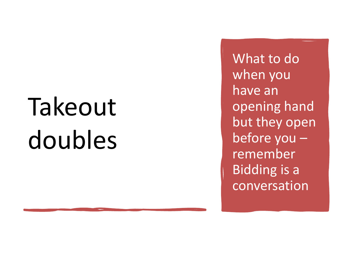# Takeout doubles

What to do when you have an opening hand but they open before you – remember Bidding is a conversation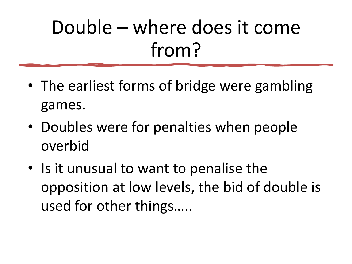### Double – where does it come from?

- The earliest forms of bridge were gambling games.
- Doubles were for penalties when people overbid
- Is it unusual to want to penalise the opposition at low levels, the bid of double is used for other things…..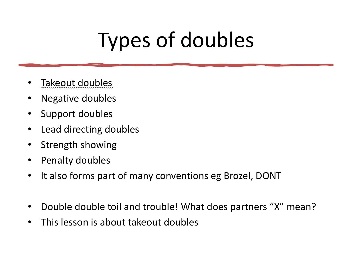## Types of doubles

- Takeout doubles
- Negative doubles
- Support doubles
- Lead directing doubles
- Strength showing
- Penalty doubles
- It also forms part of many conventions eg Brozel, DONT
- Double double toil and trouble! What does partners "X" mean?
- This lesson is about takeout doubles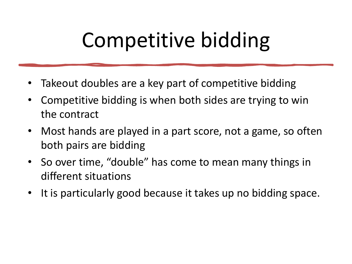### Competitive bidding

- Takeout doubles are a key part of competitive bidding
- Competitive bidding is when both sides are trying to win the contract
- Most hands are played in a part score, not a game, so often both pairs are bidding
- So over time, "double" has come to mean many things in different situations
- It is particularly good because it takes up no bidding space.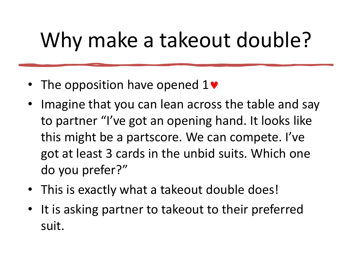### Why make a takeout double?

- The opposition have opened  $1\blacktriangledown$
- Imagine that you can lean across the table and say to partner "I've got an opening hand. It looks like this might be a partscore. We can compete. I've got at least 3 cards in the unbid suits. Which one do you prefer?"
- This is exactly what a takeout double does!
- It is asking partner to takeout to their preferred suit.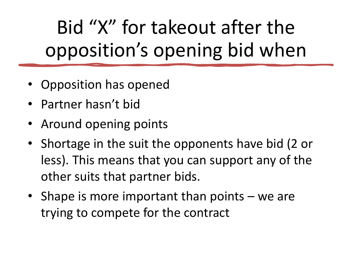Bid "X" for takeout after the opposition's opening bid when

- Opposition has opened
- Partner hasn't bid
- Around opening points
- Shortage in the suit the opponents have bid (2 or less). This means that you can support any of the other suits that partner bids.
- Shape is more important than points we are trying to compete for the contract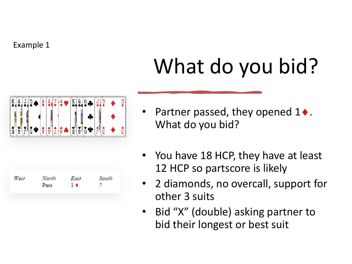## What do you bid?



- Partner passed, they opened  $1 \bullet$ . What do you bid?
- You have 18 HCP, they have at least 12 HCP so partscore is likely
- 2 diamonds, no overcall, support for other 3 suits
- Bid "X" (double) asking partner to bid their longest or best suit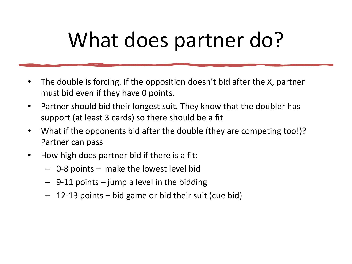### What does partner do?

- The double is forcing. If the opposition doesn't bid after the X, partner must bid even if they have 0 points.
- Partner should bid their longest suit. They know that the doubler has support (at least 3 cards) so there should be a fit
- What if the opponents bid after the double (they are competing too!)? Partner can pass
- How high does partner bid if there is a fit:
	- 0-8 points make the lowest level bid
	- $-$  9-11 points  $-$  jump a level in the bidding
	- 12-13 points bid game or bid their suit (cue bid)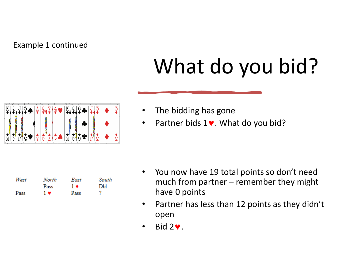#### Example 1 continued

## What do you bid?

|   | $\frac{A}{2}$ | Ű | $\frac{4}{9}$ | $\frac{K}{4}$<br>đ<br>$\frac{6}{4}$ |  |  |
|---|---------------|---|---------------|-------------------------------------|--|--|
|   |               |   |               |                                     |  |  |
| ň | Ÿ             |   |               | N.<br>$\mathbf{v}_1$<br>Х<br>υ      |  |  |

|  |  | The bidding has gone |  |  |
|--|--|----------------------|--|--|
|--|--|----------------------|--|--|

• Partner bids  $1\blacktriangleright$ . What do you bid?

| West | North | East | South |
|------|-------|------|-------|
|      | Pass  | 1 ♦  | DЫ    |
| Pass | 1 v   | Pass |       |

- You now have 19 total points so don't need much from partner – remember they might have 0 points
- Partner has less than 12 points as they didn't open
- $\cdot$  Bid 2 $\cdot$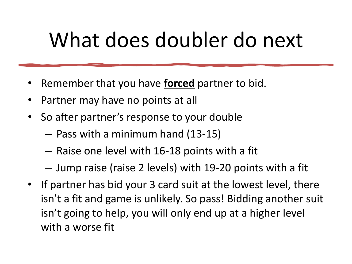### What does doubler do next

- Remember that you have **forced** partner to bid.
- Partner may have no points at all
- So after partner's response to your double
	- Pass with a minimum hand (13-15)
	- Raise one level with 16-18 points with a fit
	- Jump raise (raise 2 levels) with 19-20 points with a fit
- If partner has bid your 3 card suit at the lowest level, there isn't a fit and game is unlikely. So pass! Bidding another suit isn't going to help, you will only end up at a higher level with a worse fit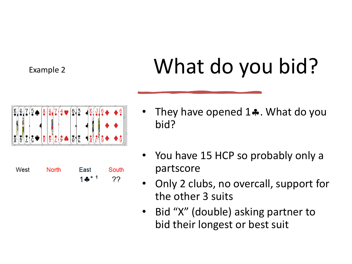#### Example 2

## What do you bid?



 $1 - 1$ 

??

- They have opened  $1\clubsuit$ . What do you bid?
- You have 15 HCP so probably only a partscore
- Only 2 clubs, no overcall, support for the other 3 suits
- Bid "X" (double) asking partner to bid their longest or best suit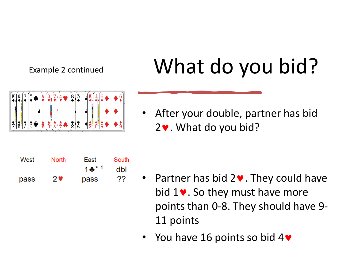#### Example 2 continued

#### What do you bid?





After your double, partner has bid  $2\blacktriangledown$ . What do you bid?

- Partner has bid  $2\blacktriangledown$ . They could have bid  $1\blacktriangleright$ . So they must have more points than 0-8. They should have 9- 11 points
- You have 16 points so bid  $4\blacktriangledown$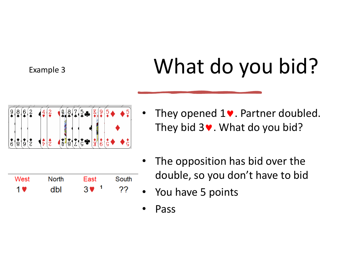#### Example 3

## What do you bid?



• They opened  $1\blacktriangleright$ . Partner doubled. They bid  $3\blacktriangleright$ . What do you bid?



- The opposition has bid over the double, so you don't have to bid
- You have 5 points
- Pass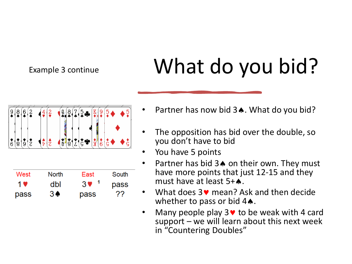#### Example 3 continue

## What do you bid?



- Partner has now bid  $3\spadesuit$ . What do you bid?
- The opposition has bid over the double, so you don't have to bid
- You have 5 points
- Partner has bid  $3\triangle$  on their own. They must have more points that just 12-15 and they must have at least  $5+A$ .
- What does  $3\vee$  mean? Ask and then decide whether to pass or bid  $4\spadesuit$ .
- Many people play  $3\vee$  to be weak with 4 card support – we will learn about this next week in "Countering Doubles"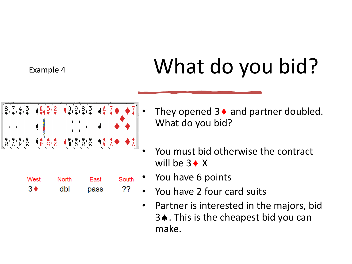#### Example 4

## What do you bid?



- They opened  $3 \triangleleft$  and partner doubled. What do you bid?
- You must bid otherwise the contract will be  $3 \triangleleft X$
- You have 6 points
- You have 2 four card suits
- Partner is interested in the majors, bid 3♦. This is the cheapest bid you can make.